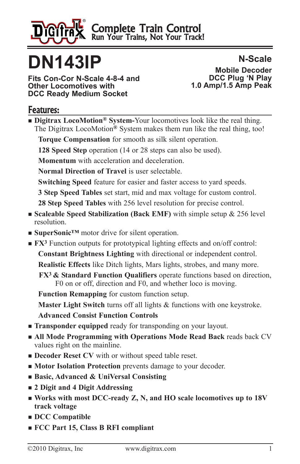

Complete Train Control Run Your Trains, Not Your Track!

# **DN143IP**

**Fits Con-Cor N-Scale 4-8-4 and Other Locomotives with DCC Ready Medium Socket**

**N-Scale Mobile Decoder DCC Plug 'N Play 1.0 Amp/1.5 Amp Peak**

#### Features:

■ **Digitrax LocoMotion<sup>®</sup> System-Your** locomotives look like the real thing. The Digitrax LocoMotion**®** System makes them run like the real thing, too!

**Torque Compensation** for smooth as silk silent operation.

**128 Speed Step** operation (14 or 28 steps can also be used).

**Momentum** with acceleration and deceleration.

**Normal Direction of Travel** is user selectable.

**Switching Speed** feature for easier and faster access to yard speeds.

**3 Step Speed Tables** set start, mid and max voltage for custom control.

**28 Step Speed Tables** with 256 level resolution for precise control.

- **Example Speed Stabilization (Back EMF)** with simple setup & 256 level resolution.
- **SuperSonic™** motor drive for silent operation.
- **FX<sup>3</sup>** Function outputs for prototypical lighting effects and on/off control: **Constant Brightness Lighting** with directional or independent control. **Realistic Effects** like Ditch lights, Mars lights, strobes, and many more. **FX3 & Standard Function Qualifiers** operate functions based on direction, F0 on or off, direction and F0, and whether loco is moving.

**Function Remapping** for custom function setup. **Master Light Switch** turns off all lights & functions with one keystroke. **Advanced Consist Function Controls**

- **Transponder equipped** ready for transponding on your layout.
- $\blacksquare$  **All Mode Programming with Operations Mode Read Back reads back CV** values right on the mainline.
- **n Decoder Reset CV** with or without speed table reset.
- **n Motor Isolation Protection** prevents damage to your decoder.
- <sup>n</sup> **Basic, Advanced & UniVersal Consisting**
- <sup>n</sup> **2 Digit and 4 Digit Addressing**
- <sup>n</sup> **Works with most DCC-ready Z, N, and HO scale locomotives up to 18V track voltage**
- <sup>n</sup> **DCC Compatible**
- <sup>n</sup> **FCC Part 15, Class B RFI compliant**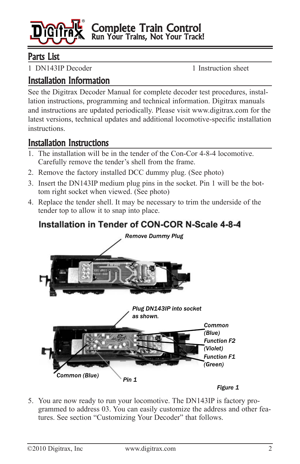

Complete Train Control Run Your Trains, Not Your Track!

## Parts List

1 DN143IP Decoder 1 Instruction sheet

## Installation Information

See the Digitrax Decoder Manual for complete decoder test procedures, installation instructions, programming and technical information. Digitrax manuals and instructions are updated periodically. Please visit www.digitrax.com for the latest versions, technical updates and additional locomotive-specific installation instructions.

### Installation Instructions

- 1. The installation will be in the tender of the Con-Cor 4-8-4 locomotive. Carefully remove the tender's shell from the frame.
- 2. Remove the factory installed DCC dummy plug. (See photo)
- 3. Insert the DN143IP medium plug pins in the socket. Pin 1 will be the bottom right socket when viewed. (See photo)
- 4. Replace the tender shell. It may be necessary to trim the underside of the tender top to allow it to snap into place.

# Installation in Tender of CON-COR N-Scale 4-8-4



5. You are now ready to run your locomotive. The DN143IP is factory programmed to address 03. You can easily customize the address and other features. See section "Customizing Your Decoder" that follows.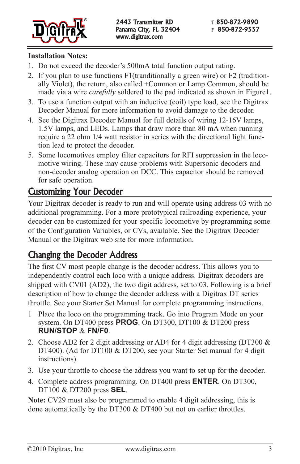

#### **Installation Notes:**

- 1. Do not exceed the decoder's 500mA total function output rating.
- 2. If you plan to use functions F1(tranditionally a green wire) or F2 (traditionally Violet), the return, also called +Common or Lamp Common, should be made via a wire *carefully* soldered to the pad indicated as shown in Figure1.
- 3. To use a function output with an inductive (coil) type load, see the Digitrax Decoder Manual for more information to avoid damage to the decoder.
- 4. See the Digitrax Decoder Manual for full details of wiring 12-16V lamps, 1.5V lamps, and LEDs. Lamps that draw more than 80 mA when running require a 22 ohm 1/4 watt resistor in series with the directional light function lead to protect the decoder.
- 5. Some locomotives employ filter capacitors for RFI suppression in the locomotive wiring. These may cause problems with Supersonic decoders and non-decoder analog operation on DCC. This capacitor should be removed for safe operation.

## Customizing Your Decoder

Your Digitrax decoder is ready to run and will operate using address 03 with no additional programming. For a more prototypical railroading experience, your decoder can be customized for your specific locomotive by programming some of the Configuration Variables, or CVs, available. See the Digitrax Decoder Manual or the Digitrax web site for more information.

## Changing the Decoder Address

The first CV most people change is the decoder address. This allows you to independently control each loco with a unique address. Digitrax decoders are shipped with CV01 (AD2), the two digit address, set to 03. Following is a brief description of how to change the decoder address with a Digitrax DT series throttle. See your Starter Set Manual for complete programming instructions.

- 1 Place the loco on the programming track. Go into Program Mode on your system. On DT400 press **PROG**. On DT300, DT100 & DT200 press **RUN/STOP** & **FN/F0**.
- 2. Choose AD2 for 2 digit addressing or AD4 for 4 digit addressing (DT300  $\&$ DT400). (Ad for DT100 & DT200, see your Starter Set manual for 4 digit instructions).
- 3. Use your throttle to choose the address you want to set up for the decoder.
- 4. Complete address programming. On DT400 press **ENTER**. On DT300, DT100 & DT200 press **SEL**.

**Note:** CV29 must also be programmed to enable 4 digit addressing, this is done automatically by the DT300 & DT400 but not on earlier throttles.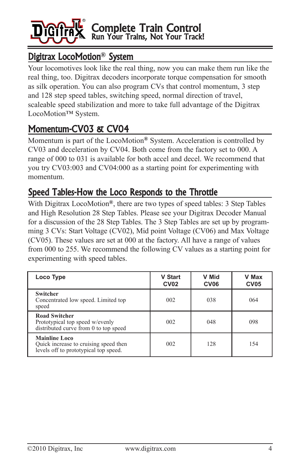

## Digitrax LocoMotion**®** System

Your locomotives look like the real thing, now you can make them run like the real thing, too. Digitrax decoders incorporate torque compensation for smooth as silk operation. You can also program CVs that control momentum, 3 step and 128 step speed tables, switching speed, normal direction of travel, scaleable speed stabilization and more to take full advantage of the Digitrax LocoMotion™ System.

# Momentum-CV03 & CV04

Momentum is part of the LocoMotion**®** System. Acceleration is controlled by CV03 and deceleration by CV04. Both come from the factory set to 000. A range of 000 to 031 is available for both accel and decel. We recommend that you try CV03:003 and CV04:000 as a starting point for experimenting with momentum.

## Speed Tables-How the Loco Responds to the Throttle

With Digitrax LocoMotion**®**, there are two types of speed tables: 3 Step Tables and High Resolution 28 Step Tables. Please see your Digitrax Decoder Manual for a discussion of the 28 Step Tables. The 3 Step Tables are set up by programming 3 CVs: Start Voltage (CV02), Mid point Voltage (CV06) and Max Voltage (CV05). These values are set at 000 at the factory. All have a range of values from 000 to 255. We recommend the following CV values as a starting point for experimenting with speed tables.

| Loco Type                                                                                              | <b>V Start</b><br><b>CV02</b> | V Mid<br>CV <sub>06</sub> | V Max<br><b>CV05</b> |
|--------------------------------------------------------------------------------------------------------|-------------------------------|---------------------------|----------------------|
| <b>Switcher</b><br>Concentrated low speed. Limited top<br>speed                                        | 002                           | 038                       | 064                  |
| <b>Road Switcher</b><br>Prototypical top speed w/evenly<br>distributed curve from 0 to top speed       | 002                           | 048                       | 098                  |
| <b>Mainline Loco</b><br>Quick increase to cruising speed then<br>levels off to prototypical top speed. | 002                           | 128                       | 154                  |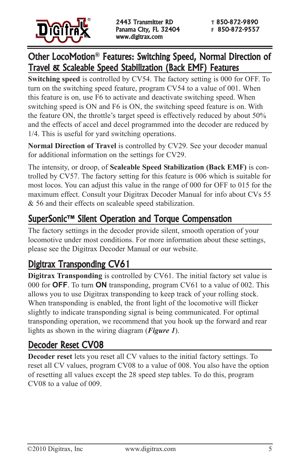

#### Other LocoMotion**®** Features: Switching Speed, Normal Direction of Travel & Scaleable Speed Stabilization (Back EMF) Features

**Switching speed** is controlled by CV54. The factory setting is 000 for OFF. To turn on the switching speed feature, program CV54 to a value of 001. When this feature is on, use F6 to activate and deactivate switching speed. When switching speed is ON and F6 is ON, the switching speed feature is on. With the feature ON, the throttle's target speed is effectively reduced by about 50% and the effects of accel and decel programmed into the decoder are reduced by 1/4. This is useful for yard switching operations.

**Normal Direction of Travel** is controlled by CV29. See your decoder manual for additional information on the settings for CV29.

The intensity, or droop, of **Scaleable Speed Stabilization (Back EMF)** is controlled by CV57. The factory setting for this feature is 006 which is suitable for most locos. You can adjust this value in the range of 000 for OFF to 015 for the maximum effect. Consult your Digitrax Decoder Manual for info about CVs 55 & 56 and their effects on scaleable speed stabilization.

## SuperSonic™ Silent Operation and Torque Compensation

The factory settings in the decoder provide silent, smooth operation of your locomotive under most conditions. For more information about these settings, please see the Digitrax Decoder Manual or our website.

## Digitrax Transponding CV61

**Digitrax Transponding** is controlled by CV61. The initial factory set value is 000 for **OFF**. To turn **ON** transponding, program CV61 to a value of 002. This allows you to use Digitrax transponding to keep track of your rolling stock. When transponding is enabled, the front light of the locomotive will flicker slightly to indicate transponding signal is being communicated. For optimal transponding operation, we recommend that you hook up the forward and rear lights as shown in the wiring diagram (*Figure 1*).

## Decoder Reset CV08

**Decoder reset** lets you reset all CV values to the initial factory settings. To reset all CV values, program CV08 to a value of 008. You also have the option of resetting all values except the 28 speed step tables. To do this, program CV08 to a value of 009.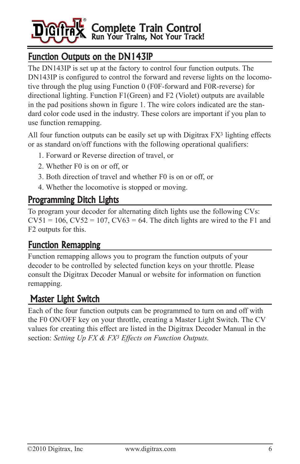

# Function Outputs on the DN143IP

The DN143IP is set up at the factory to control four function outputs. The DN143IP is configured to control the forward and reverse lights on the locomotive through the plug using Function 0 (F0F-forward and F0R-reverse) for directional lighting. Function F1(Green) and F2 (Violet) outputs are available in the pad positions shown in figure 1. The wire colors indicated are the standard color code used in the industry. These colors are important if you plan to use function remapping.

All four function outputs can be easily set up with Digitrax FX3 lighting effects or as standard on/off functions with the following operational qualifiers:

- 1. Forward or Reverse direction of travel, or
- 2. Whether F0 is on or off, or
- 3. Both direction of travel and whether F0 is on or off, or
- 4. Whether the locomotive is stopped or moving.

#### Programming Ditch Lights

To program your decoder for alternating ditch lights use the following CVs:  $CV51 = 106$ ,  $CV52 = 107$ ,  $CV63 = 64$ . The ditch lights are wired to the F1 and F2 outputs for this.

## Function Remapping

Function remapping allows you to program the function outputs of your decoder to be controlled by selected function keys on your throttle. Please consult the Digitrax Decoder Manual or website for information on function remapping.

## Master Light Switch

Each of the four function outputs can be programmed to turn on and off with the F0 ON/OFF key on your throttle, creating a Master Light Switch. The CV values for creating this effect are listed in the Digitrax Decoder Manual in the section: *Setting Up FX & FX3 Effects on Function Outputs.*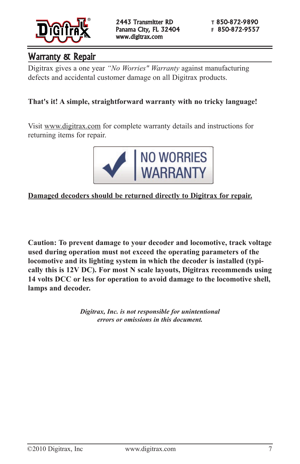

## Warranty & Repair

Digitrax gives a one year *"No Worries" Warranty* against manufacturing defects and accidental customer damage on all Digitrax products.

#### **That's it! A simple, straightforward warranty with no tricky language!**

Visit www.digitrax.com for complete warranty details and instructions for returning items for repair.



#### **Damaged decoders should be returned directly to Digitrax for repair.**

**Caution: To prevent damage to your decoder and locomotive, track voltage used during operation must not exceed the operating parameters of the locomotive and its lighting system in which the decoder is installed (typically this is 12V DC). For most N scale layouts, Digitrax recommends using 14 volts DCC or less for operation to avoid damage to the locomotive shell, lamps and decoder.**

> *Digitrax, Inc. is not responsible for unintentional errors or omissions in this document.*